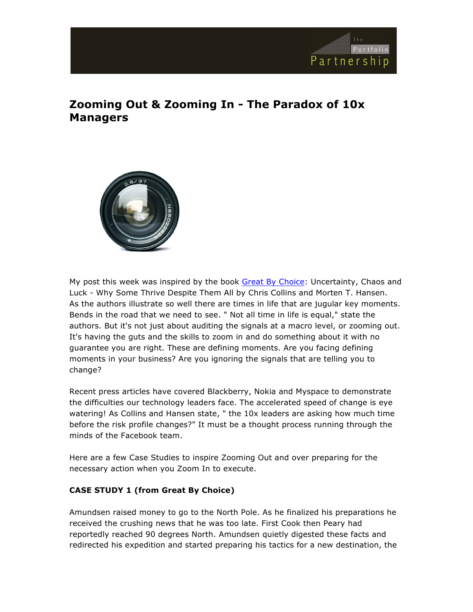

# **Zooming Out & Zooming In - The Paradox of 10x Managers**



My post this week was inspired by the book Great By Choice: Uncertainty, Chaos and Luck - Why Some Thrive Despite Them All by Chris Collins and Morten T. Hansen. As the authors illustrate so well there are times in life that are jugular key moments. Bends in the road that we need to see. " Not all time in life is equal," state the authors. But it's not just about auditing the signals at a macro level, or zooming out. It's having the guts and the skills to zoom in and do something about it with no guarantee you are right. These are defining moments. Are you facing defining moments in your business? Are you ignoring the signals that are telling you to change?

Recent press articles have covered Blackberry, Nokia and Myspace to demonstrate the difficulties our technology leaders face. The accelerated speed of change is eye watering! As Collins and Hansen state, " the 10x leaders are asking how much time before the risk profile changes?" It must be a thought process running through the minds of the Facebook team.

Here are a few Case Studies to inspire Zooming Out and over preparing for the necessary action when you Zoom In to execute.

## **CASE STUDY 1 (from Great By Choice)**

Amundsen raised money to go to the North Pole. As he finalized his preparations he received the crushing news that he was too late. First Cook then Peary had reportedly reached 90 degrees North. Amundsen quietly digested these facts and redirected his expedition and started preparing his tactics for a new destination, the